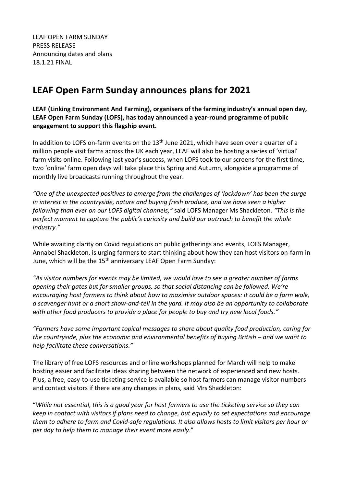LEAF OPEN FARM SUNDAY PRESS RELEASE Announcing dates and plans 18.1.21 FINAL

# **LEAF Open Farm Sunday announces plans for 2021**

**LEAF (Linking Environment And Farming), organisers of the farming industry's annual open day, LEAF Open Farm Sunday (LOFS), has today announced a year-round programme of public engagement to support this flagship event.** 

In addition to LOFS on-farm events on the  $13<sup>th</sup>$  June 2021, which have seen over a quarter of a million people visit farms across the UK each year, LEAF will also be hosting a series of 'virtual' farm visits online. Following last year's success, when LOFS took to our screens for the first time, two 'online' farm open days will take place this Spring and Autumn, alongside a programme of monthly live broadcasts running throughout the year.

*"One of the unexpected positives to emerge from the challenges of 'lockdown' has been the surge in interest in the countryside, nature and buying fresh produce, and we have seen a higher following than ever on our LOFS digital channels,"* said LOFS Manager Ms Shackleton*. "This is the perfect moment to capture the public's curiosity and build our outreach to benefit the whole industry."*

While awaiting clarity on Covid regulations on public gatherings and events, LOFS Manager, Annabel Shackleton, is urging farmers to start thinking about how they can host visitors on-farm in June, which will be the 15<sup>th</sup> anniversary LEAF Open Farm Sunday:

*"As visitor numbers for events may be limited, we would love to see a greater number of farms opening their gates but for smaller groups, so that social distancing can be followed. We're encouraging host farmers to think about how to maximise outdoor spaces: it could be a farm walk, a scavenger hunt or a short show-and-tell in the yard. It may also be an opportunity to collaborate with other food producers to provide a place for people to buy and try new local foods."*

*"Farmers have some important topical messages to share about quality food production, caring for the countryside, plus the economic and environmental benefits of buying British – and we want to help facilitate these conversations."*

The library of free LOFS resources and online workshops planned for March will help to make hosting easier and facilitate ideas sharing between the network of experienced and new hosts. Plus, a free, easy-to-use ticketing service is available so host farmers can manage visitor numbers and contact visitors if there are any changes in plans, said Mrs Shackleton:

"*While not essential, this is a good year for host farmers to use the ticketing service so they can keep in contact with visitors if plans need to change, but equally to set expectations and encourage them to adhere to farm and Covid-safe regulations. It also allows hosts to limit visitors per hour or per day to help them to manage their event more easily*."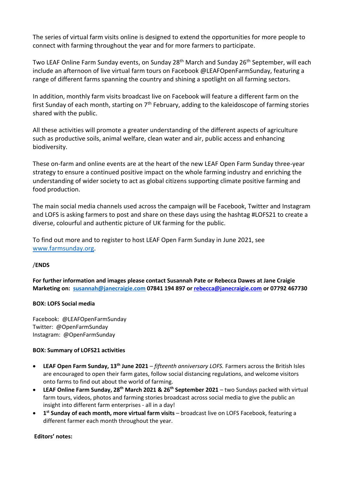The series of virtual farm visits online is designed to extend the opportunities for more people to connect with farming throughout the year and for more farmers to participate.

Two LEAF Online Farm Sunday events, on Sunday 28<sup>th</sup> March and Sunday 26<sup>th</sup> September, will each include an afternoon of live virtual farm tours on Facebook @LEAFOpenFarmSunday, featuring a range of different farms spanning the country and shining a spotlight on all farming sectors.

In addition, monthly farm visits broadcast live on Facebook will feature a different farm on the first Sunday of each month, starting on  $7<sup>th</sup>$  February, adding to the kaleidoscope of farming stories shared with the public.

All these activities will promote a greater understanding of the different aspects of agriculture such as productive soils, animal welfare, clean water and air, public access and enhancing biodiversity.

These on-farm and online events are at the heart of the new LEAF Open Farm Sunday three-year strategy to ensure a continued positive impact on the whole farming industry and enriching the understanding of wider society to act as global citizens supporting climate positive farming and food production.

The main social media channels used across the campaign will be Facebook, Twitter and Instagram and LOFS is asking farmers to post and share on these days using the hashtag #LOFS21 to create a diverse, colourful and authentic picture of UK farming for the public.

To find out more and to register to host LEAF Open Farm Sunday in June 2021, see [www.farmsunday.org.](http://www.farmsunday.org/)

## /**ENDS**

**For further information and images please contact Susannah Pate or Rebecca Dawes at Jane Craigie Marketing on: [susannah@janecraigie.com](mailto:susannah@​janecraigie.​com) 07841 194 897 or [rebecca@janecraigie.com](mailto:susannah@janecraigie.com) or 07792 467730**

## **BOX: LOFS Social media**

Facebook: @LEAFOpenFarmSunday Twitter: @OpenFarmSunday Instagram: @OpenFarmSunday

## **BOX: Summary of LOFS21 activities**

- **LEAF Open Farm Sunday, 13th June 2021** *fifteenth anniversary LOFS.* Farmers across the British Isles are encouraged to open their farm gates, follow social distancing regulations, and welcome visitors onto farms to find out about the world of farming.
- **LEAF Online Farm Sunday, 28th March 2021 & 26th September 2021** two Sundays packed with virtual farm tours, videos, photos and farming stories broadcast across social media to give the public an insight into different farm enterprises - all in a day!
- **1 st Sunday of each month, more virtual farm visits** broadcast live on LOFS Facebook, featuring a different farmer each month throughout the year.

## **Editors' notes:**